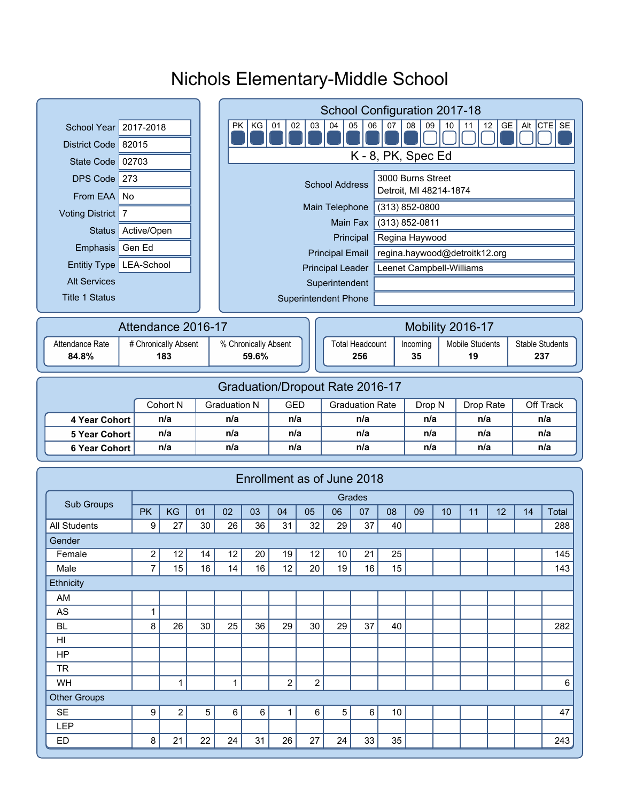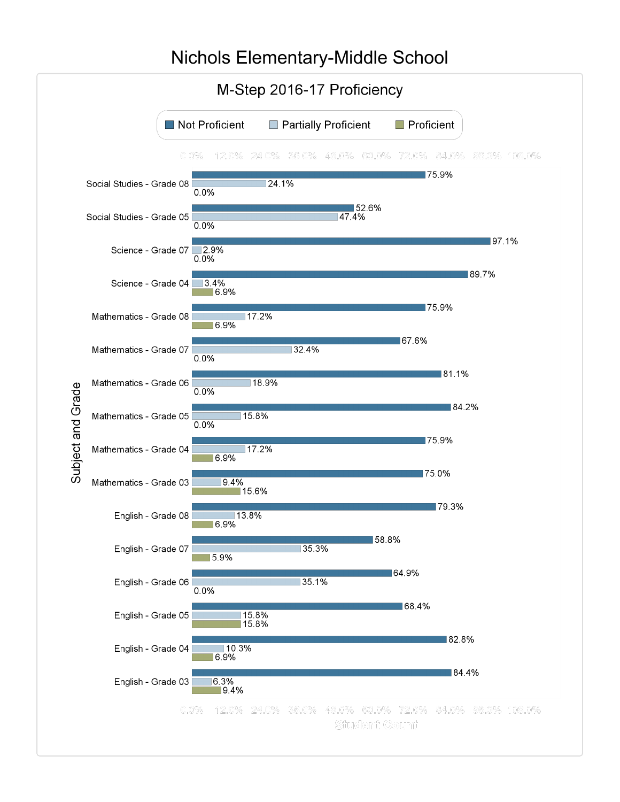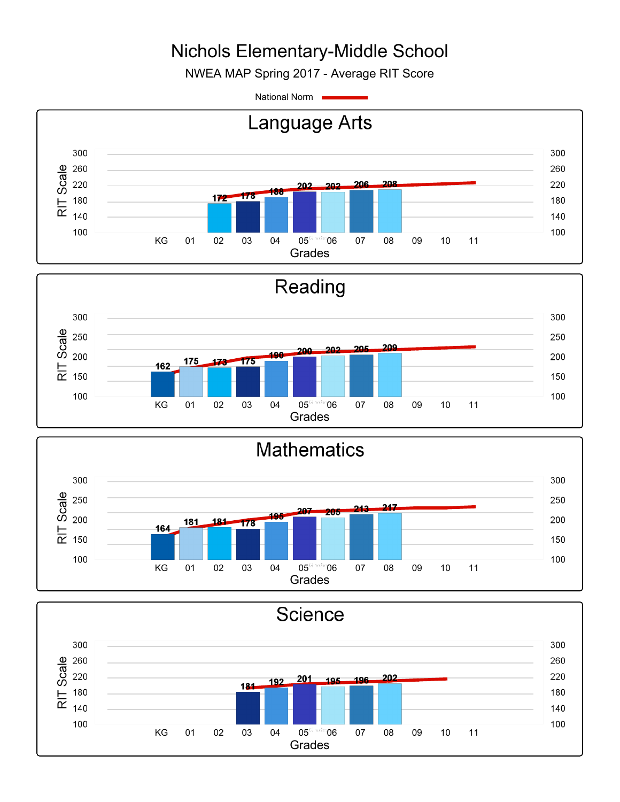NWEA MAP Spring 2017 - Average RIT Score

National Norm